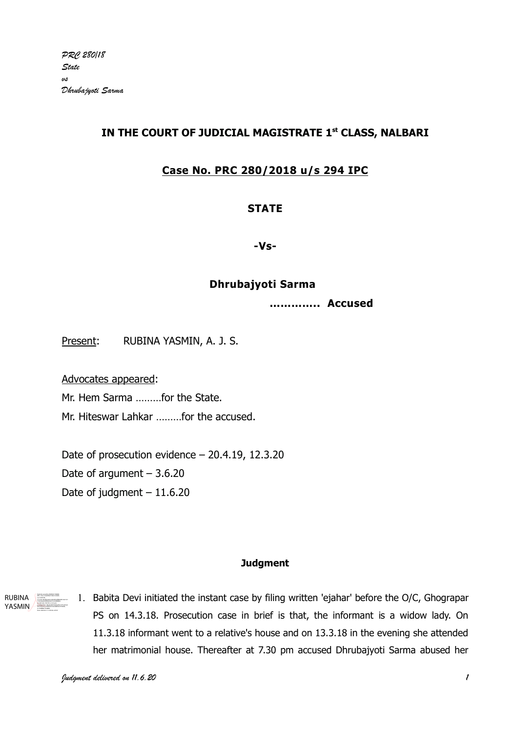# IN THE COURT OF JUDICIAL MAGISTRATE 1st CLASS, NALBARI

# Case No. PRC 280/2018 u/s 294 IPC

## **STATE**

-Vs-

## Dhrubajyoti Sarma

………….. Accused

Present: RUBINA YASMIN, A. J. S.

Advocates appeared:

Mr. Hem Sarma ………for the State.

Mr. Hiteswar Lahkar ………for the accused.

Date of prosecution evidence – 20.4.19, 12.3.20 Date of argument  $-3.6.20$ Date of judgment  $-11.6.20$ 

#### **Judgment**

RUBINA YASMIN Digitally signed by RUBINA YASMIN DN: c=IN, o=GAUHATI HIGH COURT, ou=JUDICIAL, 772e3dee6206fb6e9ab15c2c96f83b9, postalCode=781335, st=Assam, serialNumber=58eabaf8793b36ed5e1977ed01e0 dd101be3eca1969202414ecb8b94a5756de8, cn=RUBINA YASMIN Date: 2020.06.11 13:59:58 +05'30'

1. Babita Devi initiated the instant case by filing written 'ejahar' before the O/C, Ghograpar PS on 14.3.18. Prosecution case in brief is that, the informant is a widow lady. On 11.3.18 informant went to a relative's house and on 13.3.18 in the evening she attended her matrimonial house. Thereafter at 7.30 pm accused Dhrubajyoti Sarma abused her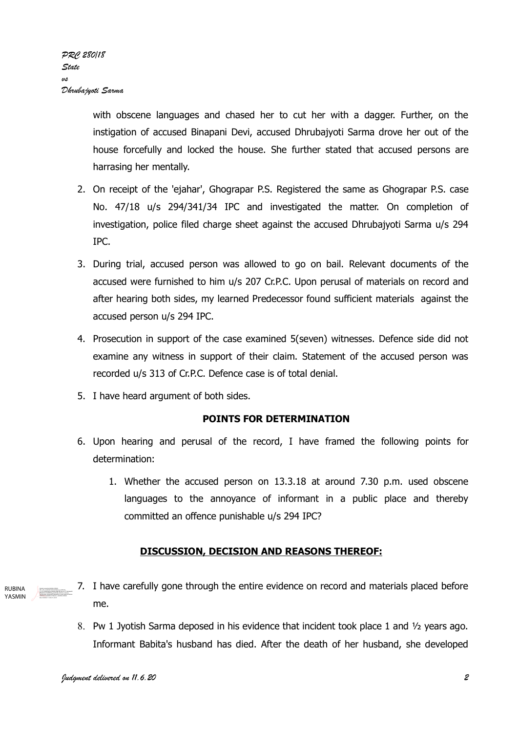with obscene languages and chased her to cut her with a dagger. Further, on the instigation of accused Binapani Devi, accused Dhrubajyoti Sarma drove her out of the house forcefully and locked the house. She further stated that accused persons are harrasing her mentally.

- 2. On receipt of the 'ejahar', Ghograpar P.S. Registered the same as Ghograpar P.S. case No. 47/18 u/s 294/341/34 IPC and investigated the matter. On completion of investigation, police filed charge sheet against the accused Dhrubajyoti Sarma u/s 294 IPC.
- 3. During trial, accused person was allowed to go on bail. Relevant documents of the accused were furnished to him u/s 207 Cr.P.C. Upon perusal of materials on record and after hearing both sides, my learned Predecessor found sufficient materials against the accused person u/s 294 IPC.
- 4. Prosecution in support of the case examined 5(seven) witnesses. Defence side did not examine any witness in support of their claim. Statement of the accused person was recorded u/s 313 of Cr.P.C. Defence case is of total denial.
- 5. I have heard argument of both sides.

### POINTS FOR DETERMINATION

- 6. Upon hearing and perusal of the record, I have framed the following points for determination:
	- 1. Whether the accused person on 13.3.18 at around 7.30 p.m. used obscene languages to the annoyance of informant in a public place and thereby committed an offence punishable u/s 294 IPC?

### DISCUSSION, DECISION AND REASONS THEREOF:

- 7. I have carefully gone through the entire evidence on record and materials placed before me. RUBINA YASMIN DN: c=IN, o=GAUHATI HIGH COURT, ou=JUDICIAL, 1969202414ecb8b94a5756de8, cn=RUBINA YASMIN
	- 8. Pw 1 Jyotish Sarma deposed in his evidence that incident took place 1 and ½ years ago. Informant Babita's husband has died. After the death of her husband, she developed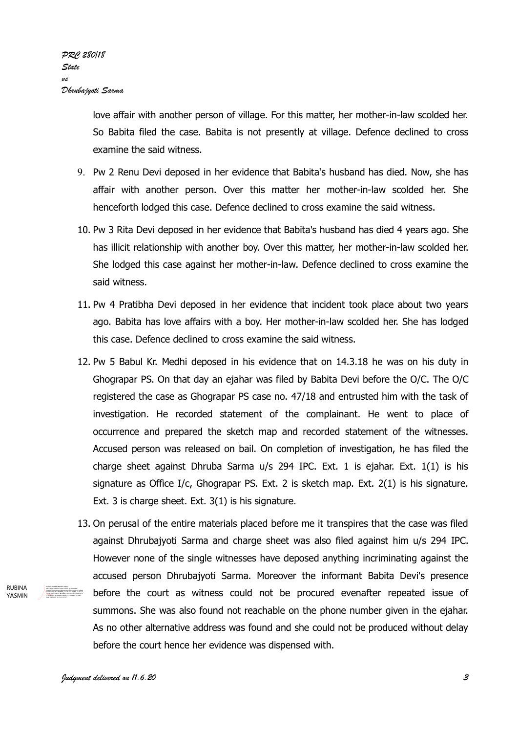love affair with another person of village. For this matter, her mother-in-law scolded her. So Babita filed the case. Babita is not presently at village. Defence declined to cross examine the said witness.

- 9. Pw 2 Renu Devi deposed in her evidence that Babita's husband has died. Now, she has affair with another person. Over this matter her mother-in-law scolded her. She henceforth lodged this case. Defence declined to cross examine the said witness.
- 10. Pw 3 Rita Devi deposed in her evidence that Babita's husband has died 4 years ago. She has illicit relationship with another boy. Over this matter, her mother-in-law scolded her. She lodged this case against her mother-in-law. Defence declined to cross examine the said witness.
- 11. Pw 4 Pratibha Devi deposed in her evidence that incident took place about two years ago. Babita has love affairs with a boy. Her mother-in-law scolded her. She has lodged this case. Defence declined to cross examine the said witness.
- 12. Pw 5 Babul Kr. Medhi deposed in his evidence that on 14.3.18 he was on his duty in Ghograpar PS. On that day an ejahar was filed by Babita Devi before the O/C. The O/C registered the case as Ghograpar PS case no. 47/18 and entrusted him with the task of investigation. He recorded statement of the complainant. He went to place of occurrence and prepared the sketch map and recorded statement of the witnesses. Accused person was released on bail. On completion of investigation, he has filed the charge sheet against Dhruba Sarma u/s 294 IPC. Ext. 1 is ejahar. Ext. 1(1) is his signature as Office I/c, Ghograpar PS. Ext. 2 is sketch map. Ext. 2(1) is his signature. Ext. 3 is charge sheet. Ext. 3(1) is his signature.
- 13. On perusal of the entire materials placed before me it transpires that the case was filed against Dhrubajyoti Sarma and charge sheet was also filed against him u/s 294 IPC. However none of the single witnesses have deposed anything incriminating against the accused person Dhrubajyoti Sarma. Moreover the informant Babita Devi's presence before the court as witness could not be procured evenafter repeated issue of summons. She was also found not reachable on the phone number given in the ejahar. As no other alternative address was found and she could not be produced without delay before the court hence her evidence was dispensed with. DN: c=IN, o=GAUHATI HIGH COURT, ou=JUDICIAL, 2.5.4.20=4bdab3a65c32ebd5545f8939b136c15c7772e3dee 6206fb6e9ab15c2c96f83b9, postalCode=781335, st=Assam, serialNumber=58eabaf8793b36ed5e1977ed01e0dd101be3 eca1969202414ecb8b94a5756de8, cn=RUBINA YASMIN

**RURINA** YASMIN